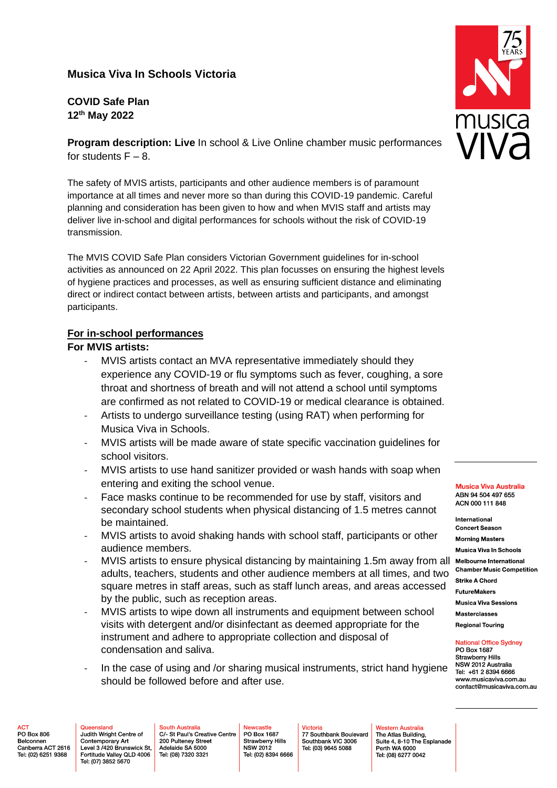# **Musica Viva In Schools Victoria**

**COVID Safe Plan 12th May 2022**

**Program description: Live In school & Live Online chamber music performances** for students  $F - 8$ .

The safety of MVIS artists, participants and other audience members is of paramount importance at all times and never more so than during this COVID-19 pandemic. Careful planning and consideration has been given to how and when MVIS staff and artists may deliver live in-school and digital performances for schools without the risk of COVID-19 transmission.

The MVIS COVID Safe Plan considers Victorian Government guidelines for in-school activities as announced on 22 April 2022. This plan focusses on ensuring the highest levels of hygiene practices and processes, as well as ensuring sufficient distance and eliminating direct or indirect contact between artists, between artists and participants, and amongst participants.

#### **For in-school performances**

### **For MVIS artists:**

- MVIS artists contact an MVA representative immediately should they experience any COVID-19 or flu symptoms such as fever, coughing, a sore throat and shortness of breath and will not attend a school until symptoms are confirmed as not related to COVID-19 or medical clearance is obtained.
- Artists to undergo surveillance testing (using RAT) when performing for Musica Viva in Schools.
- MVIS artists will be made aware of state specific vaccination guidelines for school visitors.
- MVIS artists to use hand sanitizer provided or wash hands with soap when entering and exiting the school venue.
- Face masks continue to be recommended for use by staff, visitors and secondary school students when physical distancing of 1.5 metres cannot be maintained.
- MVIS artists to avoid shaking hands with school staff, participants or other audience members.
- MVIS artists to ensure physical distancing by maintaining 1.5m away from all Melbourne International adults, teachers, students and other audience members at all times, and two square metres in staff areas, such as staff lunch areas, and areas accessed by the public, such as reception areas.
- MVIS artists to wipe down all instruments and equipment between school visits with detergent and/or disinfectant as deemed appropriate for the instrument and adhere to appropriate collection and disposal of condensation and saliva.
- In the case of using and /or sharing musical instruments, strict hand hygiene should be followed before and after use.

**Musica Viva Australia** ABN 94 504 497 655 ACN 000 111 848

International **Concert Season Morning Masters Musica Viva In Schools Chamber Music Competition Strike A Chord FutureMakers Musica Viva Sessions Masterclasses** 

**Regional Touring** 

**National Office Sydney** PO Box 1687 **Strawberry Hills** NSW 2012 Australia Tel: +61 2 8394 6666 www.musicaviva.com.au

contact@musicaviva.com.au

PO Box 806 Belconnen Canberra ACT 2616 Tel: (02) 6251 9368

Judith Wright Centre of Contemporary Art Level 3 /420 Brunswick St. Fortitude Valley QLD 4006 Tel: (07) 3852 5670

South Australia<br>C/- St Paul's Creative Centre 200 Pulteney Street Adelaide SA 5000 Tel: (08) 7320 3321

PO Box 1687 Strawberry Hills **NSW 2012** Tel: (02) 8394 6666

77 Southbank Boulevard Southbank VIC 3006 Tel: (03) 9645 5088

**Nestern Australia** The Atlas Building, Suite 4, 8-10 The Esplanade Perth WA 6000 Tel: (08) 6277 0042